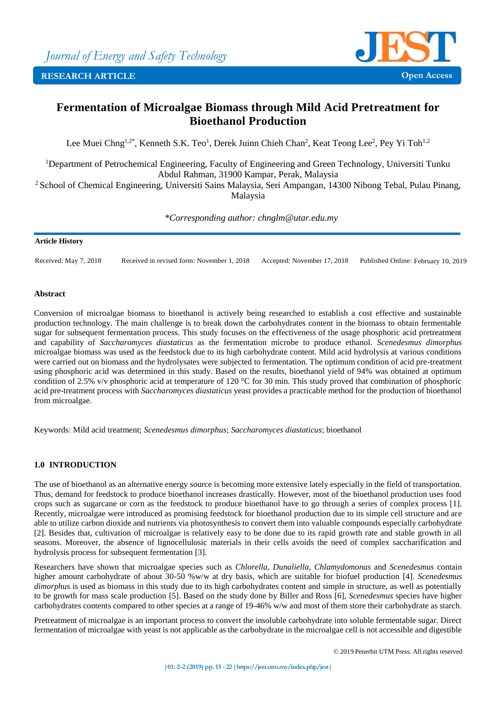

# **Fermentation of Microalgae Biomass through Mild Acid Pretreatment for Bioethanol Production**

Lee Muei Chng<sup>1,2\*</sup>, Kenneth S.K. Teo<sup>1</sup>, Derek Juinn Chieh Chan<sup>2</sup>, Keat Teong Lee<sup>2</sup>, Pey Yi Toh<sup>1,2</sup>

<sup>1</sup>Department of Petrochemical Engineering, Faculty of Engineering and Green Technology, Universiti Tunku Abdul Rahman, 31900 Kampar, Perak, Malaysia

<sup>2</sup> School of Chemical Engineering, Universiti Sains Malaysia, Seri Ampangan, 14300 Nibong Tebal, Pulau Pinang, Malaysia

*\*Corresponding author: chnglm@utar.edu.my*

# **Article History**

Received: May 7, 2018 Received in revised form: November 1, 2018 Accepted: November 17, 2018 Published Online: February 10, 2019

# **Abstract**

Conversion of microalgae biomass to bioethanol is actively being researched to establish a cost effective and sustainable production technology. The main challenge is to break down the carbohydrates content in the biomass to obtain fermentable sugar for subsequent fermentation process. This study focuses on the effectiveness of the usage phosphoric acid pretreatment and capability of *Saccharomyces diastaticus* as the fermentation microbe to produce ethanol. *Scenedesmus dimorphus* microalgae biomass was used as the feedstock due to its high carbohydrate content. Mild acid hydrolysis at various conditions were carried out on biomass and the hydrolysates were subjected to fermentation. The optimum condition of acid pre-treatment using phosphoric acid was determined in this study. Based on the results, bioethanol yield of 94% was obtained at optimum condition of 2.5% v/v phosphoric acid at temperature of 120 °C for 30 min. This study proved that combination of phosphoric acid pre-treatment process with *Saccharomyces diastaticus* yeast provides a practicable method for the production of bioethanol from microalgae.

Keywords: Mild acid treatment; *Scenedesmus dimorphus*; *Saccharomyces diastaticus*; bioethanol

# **1.0 INTRODUCTION**

The use of bioethanol as an alternative energy source is becoming more extensive lately especially in the field of transportation. Thus, demand for feedstock to produce bioethanol increases drastically. However, most of the bioethanol production uses food crops such as sugarcane or corn as the feedstock to produce bioethanol have to go through a series of complex process [\[1\]](#page-6-0). Recently, microalgae were introduced as promising feedstock for bioethanol production due to its simple cell structure and are able to utilize carbon dioxide and nutrients via photosynthesis to convert them into valuable compounds especially carbohydrate [2]. Besides that, cultivation of microalgae is relatively easy to be done due to its rapid growth rate and stable growth in all seasons. Moreover, the absence of lignocellulosic materials in their cells avoids the need of complex saccharification and hydrolysis process for subsequent fermentation [3].

Researchers have shown that microalgae species such as *Chlorella*, *Dunaliella*, *Chlamydomonas* and *Scenedesmus* contain higher amount carbohydrate of about 30-50 %w/w at dry basis, which are suitable for biofuel production [4]. *Scenedesmus dimorphus* is used as biomass in this study due to its high carbohydrates content and simple in structure, as well as potentially to be growth for mass scale production [5]. Based on the study done by Biller and Ross [6], *Scenedesmus* species have higher carbohydrates contents compared to other species at a range of 19-46% w/w and most of them store their carbohydrate as starch.

Pretreatment of microalgae is an important process to convert the insoluble carbohydrate into soluble fermentable sugar. Direct fermentation of microalgae with yeast is not applicable as the carbohydrate in the microalgae cell is not accessible and digestible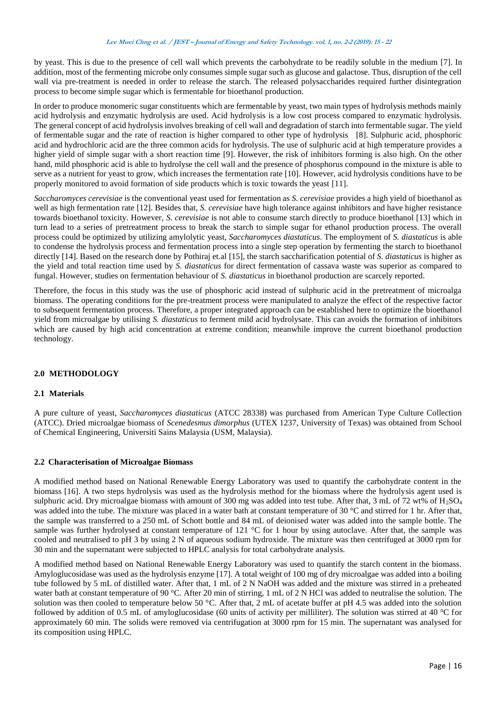by yeast. This is due to the presence of cell wall which prevents the carbohydrate to be readily soluble in the medium [7]. In addition, most of the fermenting microbe only consumes simple sugar such as glucose and galactose. Thus, disruption of the cell wall via pre-treatment is needed in order to release the starch. The released polysaccharides required further disintegration process to become simple sugar which is fermentable for bioethanol production.

In order to produce monomeric sugar constituents which are fermentable by yeast, two main types of hydrolysis methods mainly acid hydrolysis and enzymatic hydrolysis are used. Acid hydrolysis is a low cost process compared to enzymatic hydrolysis. The general concept of acid hydrolysis involves breaking of cell wall and degradation of starch into fermentable sugar. The yield of fermentable sugar and the rate of reaction is higher compared to other type of hydrolysis [8]. Sulphuric acid, phosphoric acid and hydrochloric acid are the three common acids for hydrolysis. The use of sulphuric acid at high temperature provides a higher yield of simple sugar with a short reaction time [9]. However, the risk of inhibitors forming is also high. On the other hand, mild phosphoric acid is able to hydrolyse the cell wall and the presence of phosphorus compound in the mixture is able to serve as a nutrient for yeast to grow, which increases the fermentation rate [10]. However, acid hydrolysis conditions have to be properly monitored to avoid formation of side products which is toxic towards the yeast [11].

*Saccharomyces cerevisiae* is the conventional yeast used for fermentation as *S. cerevisiae* provides a high yield of bioethanol as well as high fermentation rate [12]. Besides that, *S. cerevisiae* have high tolerance against inhibitors and have higher resistance towards bioethanol toxicity. However, *S. cerevisiae* is not able to consume starch directly to produce bioethanol [13] which in turn lead to a series of pretreatment process to break the starch to simple sugar for ethanol production process. The overall process could be optimized by utilizing amylolytic yeast, *Saccharomyces diastaticus*. The employment of *S. diastaticus* is able to condense the hydrolysis process and fermentation process into a single step operation by fermenting the starch to bioethanol directly [14]. Based on the research done by Pothiraj et.al [15], the starch saccharification potential of *S. diastaticus* is higher as the yield and total reaction time used by *S. diastaticus* for direct fermentation of cassava waste was superior as compared to fungal. However, studies on fermentation behaviour of *S. diastaticus* in bioethanol production are scarcely reported.

Therefore, the focus in this study was the use of phosphoric acid instead of sulphuric acid in the pretreatment of microalga biomass. The operating conditions for the pre-treatment process were manipulated to analyze the effect of the respective factor to subsequent fermentation process. Therefore, a proper integrated approach can be established here to optimize the bioethanol yield from microalgae by utilising *S. diastaticus* to ferment mild acid hydrolysate. This can avoids the formation of inhibitors which are caused by high acid concentration at extreme condition; meanwhile improve the current bioethanol production technology.

# **2.0 METHODOLOGY**

# **2.1 Materials**

A pure culture of yeast, *Saccharomyces diastaticus* (ATCC 28338) was purchased from American Type Culture Collection (ATCC). Dried microalgae biomass of *Scenedesmus dimorphus* (UTEX 1237, University of Texas) was obtained from School of Chemical Engineering, Universiti Sains Malaysia (USM, Malaysia).

# **2.2 Characterisation of Microalgae Biomass**

A modified method based on National Renewable Energy Laboratory was used to quantify the carbohydrate content in the biomass [16]. A two steps hydrolysis was used as the hydrolysis method for the biomass where the hydrolysis agent used is sulphuric acid. Dry microalgae biomass with amount of 300 mg was added into test tube. After that, 3 mL of 72 wt% of H<sub>2</sub>SO<sub>4</sub> was added into the tube. The mixture was placed in a water bath at constant temperature of 30 °C and stirred for 1 hr. After that, the sample was transferred to a 250 mL of Schott bottle and 84 mL of deionised water was added into the sample bottle. The sample was further hydrolysed at constant temperature of 121 °C for 1 hour by using autoclave. After that, the sample was cooled and neutralised to pH 3 by using 2 N of aqueous sodium hydroxide. The mixture was then centrifuged at 3000 rpm for 30 min and the supernatant were subjected to HPLC analysis for total carbohydrate analysis.

A modified method based on National Renewable Energy Laboratory was used to quantify the starch content in the biomass. Amyloglucosidase was used as the hydrolysis enzyme [17]. A total weight of 100 mg of dry microalgae was added into a boiling tube followed by 5 mL of distilled water. After that, 1 mL of 2 N NaOH was added and the mixture was stirred in a preheated water bath at constant temperature of 90 °C. After 20 min of stirring, 1 mL of 2 N HCl was added to neutralise the solution. The solution was then cooled to temperature below 50 °C. After that, 2 mL of acetate buffer at pH 4.5 was added into the solution followed by addition of 0.5 mL of amyloglucosidase (60 units of activity per milliliter). The solution was stirred at 40 °C for approximately 60 min. The solids were removed via centrifugation at 3000 rpm for 15 min. The supernatant was analysed for its composition using HPLC.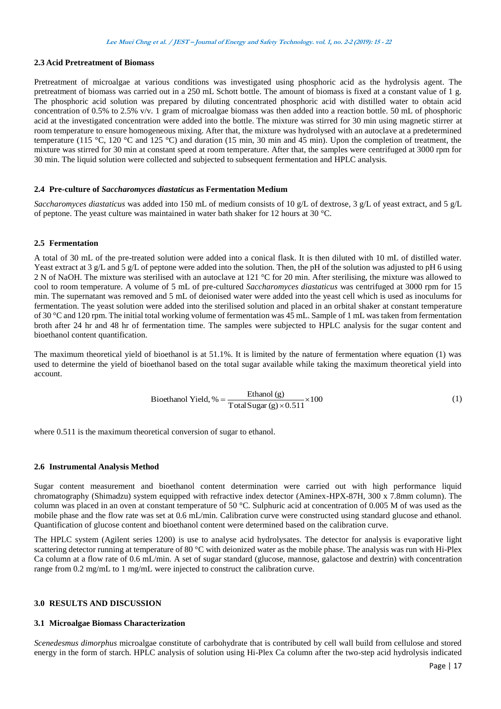# **2.3 Acid Pretreatment of Biomass**

Pretreatment of microalgae at various conditions was investigated using phosphoric acid as the hydrolysis agent. The pretreatment of biomass was carried out in a 250 mL Schott bottle. The amount of biomass is fixed at a constant value of 1 g. The phosphoric acid solution was prepared by diluting concentrated phosphoric acid with distilled water to obtain acid concentration of 0.5% to 2.5% v/v. 1 gram of microalgae biomass was then added into a reaction bottle. 50 mL of phosphoric acid at the investigated concentration were added into the bottle. The mixture was stirred for 30 min using magnetic stirrer at room temperature to ensure homogeneous mixing. After that, the mixture was hydrolysed with an autoclave at a predetermined temperature (115 °C, 120 °C and 125 °C) and duration (15 min, 30 min and 45 min). Upon the completion of treatment, the mixture was stirred for 30 min at constant speed at room temperature. After that, the samples were centrifuged at 3000 rpm for 30 min. The liquid solution were collected and subjected to subsequent fermentation and HPLC analysis.

#### **2.4 Pre-culture of** *Saccharomyces diastaticus* **as Fermentation Medium**

*Saccharomyces diastaticus* was added into 150 mL of medium consists of 10 g/L of dextrose, 3 g/L of yeast extract, and 5 g/L of peptone. The yeast culture was maintained in water bath shaker for 12 hours at 30 °C.

#### **2.5 Fermentation**

A total of 30 mL of the pre-treated solution were added into a conical flask. It is then diluted with 10 mL of distilled water. Yeast extract at 3 g/L and 5 g/L of peptone were added into the solution. Then, the pH of the solution was adjusted to pH 6 using 2 N of NaOH. The mixture was sterilised with an autoclave at 121 °C for 20 min. After sterilising, the mixture was allowed to cool to room temperature. A volume of 5 mL of pre-cultured *Saccharomyces diastaticus* was centrifuged at 3000 rpm for 15 min. The supernatant was removed and 5 mL of deionised water were added into the yeast cell which is used as inoculums for fermentation. The yeast solution were added into the sterilised solution and placed in an orbital shaker at constant temperature of 30 °C and 120 rpm. The initial total working volume of fermentation was 45 mL. Sample of 1 mL was taken from fermentation broth after 24 hr and 48 hr of fermentation time. The samples were subjected to HPLC analysis for the sugar content and bioethanol content quantification.

The maximum theoretical yield of bioethanol is at 51.1%. It is limited by the nature of fermentation where equation (1) was used to determine the yield of bioethanol based on the total sugar available while taking the maximum theoretical yield into account.

Bioethanol Yield, % = 
$$
\frac{\text{Ethanol (g)}}{\text{Total Sugar (g)} \times 0.511} \times 100
$$
 (1)

where  $0.511$  is the maximum theoretical conversion of sugar to ethanol.

#### **2.6 Instrumental Analysis Method**

Sugar content measurement and bioethanol content determination were carried out with high performance liquid chromatography (Shimadzu) system equipped with refractive index detector (Aminex-HPX-87H, 300 x 7.8mm column). The column was placed in an oven at constant temperature of 50 °C. Sulphuric acid at concentration of 0.005 M of was used as the mobile phase and the flow rate was set at 0.6 mL/min. Calibration curve were constructed using standard glucose and ethanol. Quantification of glucose content and bioethanol content were determined based on the calibration curve.

The HPLC system (Agilent series 1200) is use to analyse acid hydrolysates. The detector for analysis is evaporative light scattering detector running at temperature of 80 °C with deionized water as the mobile phase. The analysis was run with Hi-Plex Ca column at a flow rate of 0.6 mL/min. A set of sugar standard (glucose, mannose, galactose and dextrin) with concentration range from 0.2 mg/mL to 1 mg/mL were injected to construct the calibration curve.

# **3.0 RESULTS AND DISCUSSION**

#### **3.1 Microalgae Biomass Characterization**

*Scenedesmus dimorphus* microalgae constitute of carbohydrate that is contributed by cell wall build from cellulose and stored energy in the form of starch. HPLC analysis of solution using Hi-Plex Ca column after the two-step acid hydrolysis indicated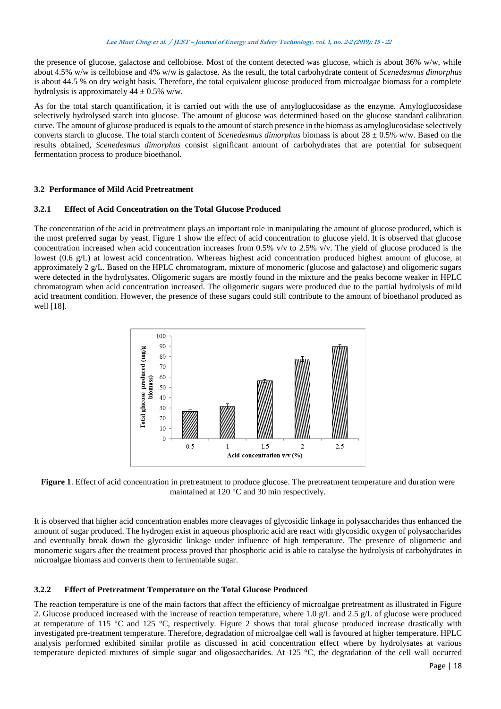the presence of glucose, galactose and cellobiose. Most of the content detected was glucose, which is about 36% w/w, while about 4.5% w/w is cellobiose and 4% w/w is galactose. As the result, the total carbohydrate content of *Scenedesmus dimorphus* is about 44.5 % on dry weight basis. Therefore, the total equivalent glucose produced from microalgae biomass for a complete hydrolysis is approximately  $44 \pm 0.5\%$  w/w.

As for the total starch quantification, it is carried out with the use of amyloglucosidase as the enzyme. Amyloglucosidase selectively hydrolysed starch into glucose. The amount of glucose was determined based on the glucose standard calibration curve. The amount of glucose produced is equals to the amount of starch presence in the biomass as amyloglucosidase selectively converts starch to glucose. The total starch content of *Scenedesmus dimorphus* biomass is about  $28 \pm 0.5\%$  w/w. Based on the results obtained, *Scenedesmus dimorphus* consist significant amount of carbohydrates that are potential for subsequent fermentation process to produce bioethanol.

# **3.2 Performance of Mild Acid Pretreatment**

# **3.2.1 Effect of Acid Concentration on the Total Glucose Produced**

The concentration of the acid in pretreatment plays an important role in manipulating the amount of glucose produced, which is the most preferred sugar by yeast. Figure 1 show the effect of acid concentration to glucose yield. It is observed that glucose concentration increased when acid concentration increases from 0.5%  $v/v$  to 2.5%  $v/v$ . The yield of glucose produced is the lowest (0.6 g/L) at lowest acid concentration. Whereas highest acid concentration produced highest amount of glucose, at approximately 2 g/L. Based on the HPLC chromatogram, mixture of monomeric (glucose and galactose) and oligomeric sugars were detected in the hydrolysates. Oligomeric sugars are mostly found in the mixture and the peaks become weaker in HPLC chromatogram when acid concentration increased. The oligomeric sugars were produced due to the partial hydrolysis of mild acid treatment condition. However, the presence of these sugars could still contribute to the amount of bioethanol produced as well [18].



**Figure 1**. Effect of acid concentration in pretreatment to produce glucose. The pretreatment temperature and duration were maintained at 120 °C and 30 min respectively.

It is observed that higher acid concentration enables more cleavages of glycosidic linkage in polysaccharides thus enhanced the amount of sugar produced. The hydrogen exist in aqueous phosphoric acid are react with glycosidic oxygen of polysaccharides and eventually break down the glycosidic linkage under influence of high temperature. The presence of oligomeric and monomeric sugars after the treatment process proved that phosphoric acid is able to catalyse the hydrolysis of carbohydrates in microalgae biomass and converts them to fermentable sugar.

# **3.2.2 Effect of Pretreatment Temperature on the Total Glucose Produced**

The reaction temperature is one of the main factors that affect the efficiency of microalgae pretreatment as illustrated in Figure 2. Glucose produced increased with the increase of reaction temperature, where 1.0 g/L and 2.5 g/L of glucose were produced at temperature of 115  $\degree$ C and 125  $\degree$ C, respectively. Figure 2 shows that total glucose produced increase drastically with investigated pre-treatment temperature. Therefore, degradation of microalgae cell wall is favoured at higher temperature. HPLC analysis performed exhibited similar profile as discussed in acid concentration effect where by hydrolysates at various temperature depicted mixtures of simple sugar and oligosaccharides. At 125 °C, the degradation of the cell wall occurred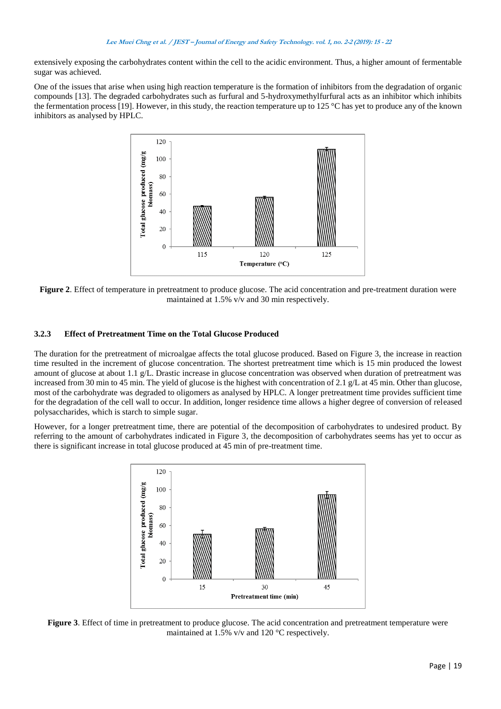extensively exposing the carbohydrates content within the cell to the acidic environment. Thus, a higher amount of fermentable sugar was achieved.

One of the issues that arise when using high reaction temperature is the formation of inhibitors from the degradation of organic compounds [13]. The degraded carbohydrates such as furfural and 5-hydroxymethylfurfural acts as an inhibitor which inhibits the fermentation process [19]. However, in this study, the reaction temperature up to 125 °C has yet to produce any of the known inhibitors as analysed by HPLC.



**Figure 2**. Effect of temperature in pretreatment to produce glucose. The acid concentration and pre-treatment duration were maintained at 1.5% v/v and 30 min respectively.

# **3.2.3 Effect of Pretreatment Time on the Total Glucose Produced**

The duration for the pretreatment of microalgae affects the total glucose produced. Based on Figure 3, the increase in reaction time resulted in the increment of glucose concentration. The shortest pretreatment time which is 15 min produced the lowest amount of glucose at about 1.1  $g/L$ . Drastic increase in glucose concentration was observed when duration of pretreatment was increased from 30 min to 45 min. The yield of glucose is the highest with concentration of 2.1 g/L at 45 min. Other than glucose, most of the carbohydrate was degraded to oligomers as analysed by HPLC. A longer pretreatment time provides sufficient time for the degradation of the cell wall to occur. In addition, longer residence time allows a higher degree of conversion of released polysaccharides, which is starch to simple sugar.

However, for a longer pretreatment time, there are potential of the decomposition of carbohydrates to undesired product. By referring to the amount of carbohydrates indicated in Figure 3, the decomposition of carbohydrates seems has yet to occur as there is significant increase in total glucose produced at 45 min of pre-treatment time.



**Figure 3**. Effect of time in pretreatment to produce glucose. The acid concentration and pretreatment temperature were maintained at 1.5% v/v and 120 °C respectively.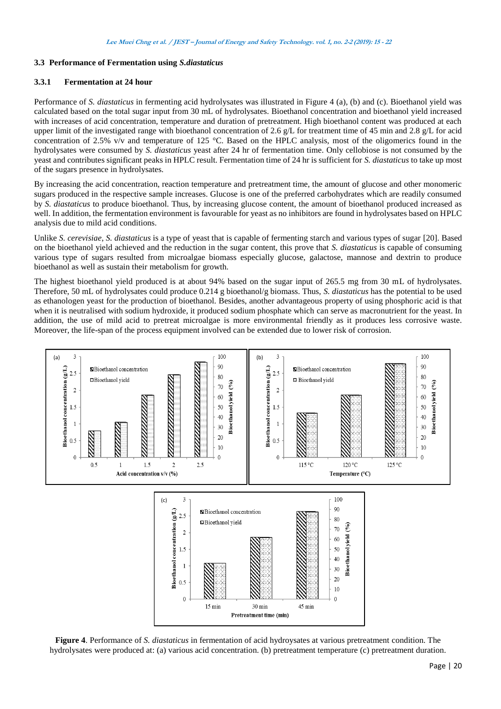# **3.3 Performance of Fermentation using** *S.diastaticus*

# **3.3.1 Fermentation at 24 hour**

Performance of *S. diastaticus* in fermenting acid hydrolysates was illustrated in Figure 4 (a), (b) and (c). Bioethanol yield was calculated based on the total sugar input from 30 mL of hydrolysates. Bioethanol concentration and bioethanol yield increased with increases of acid concentration, temperature and duration of pretreatment. High bioethanol content was produced at each upper limit of the investigated range with bioethanol concentration of 2.6 g/L for treatment time of 45 min and 2.8 g/L for acid concentration of 2.5% v/v and temperature of 125 °C. Based on the HPLC analysis, most of the oligomerics found in the hydrolysates were consumed by *S. diastaticus* yeast after 24 hr of fermentation time. Only cellobiose is not consumed by the yeast and contributes significant peaks in HPLC result. Fermentation time of 24 hr is sufficient for *S. diastaticus* to take up most of the sugars presence in hydrolysates.

By increasing the acid concentration, reaction temperature and pretreatment time, the amount of glucose and other monomeric sugars produced in the respective sample increases. Glucose is one of the preferred carbohydrates which are readily consumed by *S. diastaticus* to produce bioethanol. Thus, by increasing glucose content, the amount of bioethanol produced increased as well. In addition, the fermentation environment is favourable for yeast as no inhibitors are found in hydrolysates based on HPLC analysis due to mild acid conditions.

Unlike *S. cerevisiae*, *S. diastaticus* is a type of yeast that is capable of fermenting starch and various types of sugar [20]. Based on the bioethanol yield achieved and the reduction in the sugar content, this prove that *S. diastaticus* is capable of consuming various type of sugars resulted from microalgae biomass especially glucose, galactose, mannose and dextrin to produce bioethanol as well as sustain their metabolism for growth.

The highest bioethanol yield produced is at about 94% based on the sugar input of 265.5 mg from 30 mL of hydrolysates. Therefore, 50 mL of hydrolysates could produce 0.214 g bioethanol/g biomass. Thus, *S. diastaticus* has the potential to be used as ethanologen yeast for the production of bioethanol. Besides, another advantageous property of using phosphoric acid is that when it is neutralised with sodium hydroxide, it produced sodium phosphate which can serve as macronutrient for the yeast. In addition, the use of mild acid to pretreat microalgae is more environmental friendly as it produces less corrosive waste. Moreover, the life-span of the process equipment involved can be extended due to lower risk of corrosion.



**Figure 4**. Performance of *S. diastaticus* in fermentation of acid hydroysates at various pretreatment condition. The hydrolysates were produced at: (a) various acid concentration. (b) pretreatment temperature (c) pretreatment duration.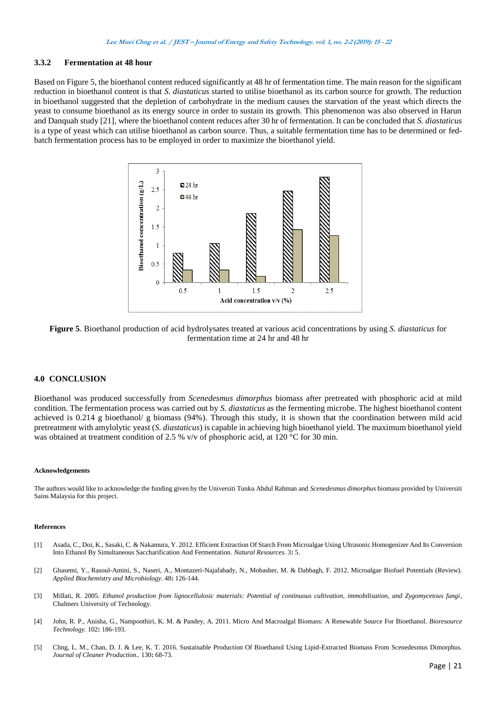# **3.3.2 Fermentation at 48 hour**

Based on Figure 5, the bioethanol content reduced significantly at 48 hr of fermentation time. The main reason for the significant reduction in bioethanol content is that *S. diastaticus* started to utilise bioethanol as its carbon source for growth. The reduction in bioethanol suggested that the depletion of carbohydrate in the medium causes the starvation of the yeast which directs the yeast to consume bioethanol as its energy source in order to sustain its growth. This phenomenon was also observed in Harun and Danquah study [21], where the bioethanol content reduces after 30 hr of fermentation. It can be concluded that *S. diastaticus* is a type of yeast which can utilise bioethanol as carbon source. Thus, a suitable fermentation time has to be determined or fedbatch fermentation process has to be employed in order to maximize the bioethanol yield.



**Figure 5**. Bioethanol production of acid hydrolysates treated at various acid concentrations by using *S. diastaticus* for fermentation time at 24 hr and 48 hr

### **4.0 CONCLUSION**

Bioethanol was produced successfully from *Scenedesmus dimorphus* biomass after pretreated with phosphoric acid at mild condition. The fermentation process was carried out by *S. diastaticus* as the fermenting microbe. The highest bioethanol content achieved is 0.214 g bioethanol/ g biomass (94%). Through this study, it is shown that the coordination between mild acid pretreatment with amylolytic yeast (*S. diastaticus*) is capable in achieving high bioethanol yield. The maximum bioethanol yield was obtained at treatment condition of 2.5 % v/v of phosphoric acid, at 120 °C for 30 min.

#### **Acknowledgements**

The authors would like to acknowledge the funding given by the Universiti Tunku Abdul Rahman and *Scenedesmus dimorphus* biomass provided by Universiti Sains Malaysia for this project.

#### **References**

- <span id="page-6-0"></span>[1] Asada, C., Doi, K., Sasaki, C. & Nakamura, Y. 2012. Efficient Extraction Of Starch From Microalgae Using Ultrasonic Homogenizer And Its Conversion Into Ethanol By Simultaneous Saccharification And Fermentation. *Natural Resources.* 3**:** 5.
- [2] Ghasemi, Y., Rasoul-Amini, S., Naseri, A., Montazeri-Najafabady, N., Mobasher, M. & Dabbagh, F. 2012. Microalgae Biofuel Potentials (Review). *Applied Biochemistry and Microbiology.* 48**:** 126-144.
- [3] Millati, R. 2005. *Ethanol production from lignocellulosic materials: Potential of continuous cultivation, immobilisation, and Zygomycetous fungi*, Chalmers University of Technology.
- [4] John, R. P., Anisha, G., Nampoothiri, K. M. & Pandey, A. 2011. Micro And Macroalgal Biomass: A Renewable Source For Bioethanol. *Bioresource Technology.* 102**:** 186-193.
- [5] Chng, L. M., Chan, D. J. & Lee, K. T. 2016. Sustainable Production Of Bioethanol Using Lipid-Extracted Biomass From Scenedesmus Dimorphus. *Journal of Cleaner Production..* 130**:** 68-73.